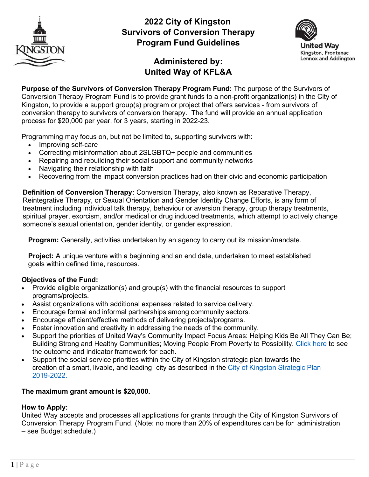

# **2022 City of Kingston Survivors of Conversion Therapy Program Fund Guidelines**



# **Administered by: United Way of KFL&A**

**Purpose of the Survivors of Conversion Therapy Program Fund:** The purpose of the Survivors of Conversion Therapy Program Fund is to provide grant funds to a non-profit organization(s) in the City of Kingston, to provide a support group(s) program or project that offers services - from survivors of conversion therapy to survivors of conversion therapy. The fund will provide an annual application process for \$20,000 per year, for 3 years, starting in 2022-23.

Programming may focus on, but not be limited to, supporting survivors with:

- Improving self-care
- Correcting misinformation about 2SLGBTQ+ people and communities
- Repairing and rebuilding their social support and community networks
- Navigating their relationship with faith
- Recovering from the impact conversion practices had on their civic and economic participation

**Definition of Conversion Therapy:** Conversion Therapy, also known as Reparative Therapy, Reintegrative Therapy, or Sexual Orientation and Gender Identity Change Efforts, is any form of treatment including individual talk therapy, behaviour or aversion therapy, group therapy treatments, spiritual prayer, exorcism, and/or medical or drug induced treatments, which attempt to actively change someone's sexual orientation, gender identity, or gender expression.

**Program:** Generally, activities undertaken by an agency to carry out its mission/mandate.

**Project:** A unique venture with a beginning and an end date, undertaken to meet established goals within defined time, resources.

### **Objectives of the Fund:**

- Provide eligible organization(s) and group(s) with the financial resources to support programs/projects.
- Assist organizations with additional expenses related to service delivery.
- Encourage formal and informal partnerships among community sectors.
- Encourage efficient/effective methods of delivering projects/programs.
- Foster innovation and creativity in addressing the needs of the community.
- Support the priorities of United Way's Community Impact Focus Areas: Helping Kids Be All They Can Be; Building Strong and Healthy Communities; Moving People From Poverty to Possibility. [Click here](https://www.unitedwaykfla.ca/wp-content/uploads/2020/10/Outcomes-Reporting-Guide.pdf) to see the outcome and indicator framework for each.
- Support the social service priorities within the City of Kingston strategic plan towards the creation of a smart, livable, and leading city as described in the City of Kingston [Strategic](https://www.cityofkingston.ca/documents/10180/30029/City%2Bof%2BKingston%2BStrategic%2BPlan%2B2019-2022.pdf/0b717fa6-5a06-44e4-a67b-3ec1453ebe1b) Plan [2019-2022.](https://www.cityofkingston.ca/documents/10180/30029/City%2Bof%2BKingston%2BStrategic%2BPlan%2B2019-2022.pdf/0b717fa6-5a06-44e4-a67b-3ec1453ebe1b)

### **The maximum grant amount is \$20,000.**

### **How to Apply:**

United Way accepts and processes all applications for grants through the City of Kingston Survivors of Conversion Therapy Program Fund. (Note: no more than 20% of expenditures can be for administration – see Budget schedule.)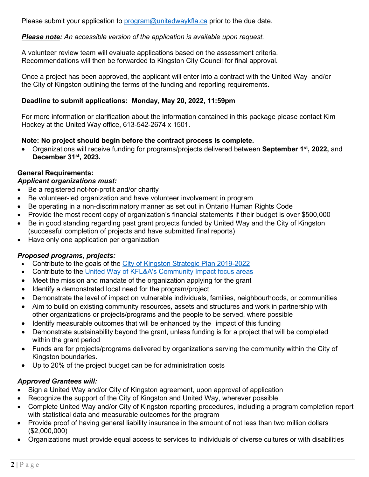Please submit your application to [program@unitedwaykfla.ca](mailto:program@unitedwaykfla.ca) prior to the due date.

# *Please note: An accessible version of the application is available upon request.*

A volunteer review team will evaluate applications based on the assessment criteria. Recommendations will then be forwarded to Kingston City Council for final approval.

Once a project has been approved, the applicant will enter into a contract with the United Way and/or the City of Kingston outlining the terms of the funding and reporting requirements.

## **Deadline to submit applications: Monday, May 20, 2022, 11:59pm**

For more information or clarification about the information contained in this package please contact Kim Hockey at the United Way office, 613-542-2674 x 1501.

## **Note: No project should begin before the contract process is complete.**

• Organizations will receive funding for programs/projects delivered between **September 1st, 2022,** and **December 31st, 2023.** 

## **General Requirements:**

### *Applicant organizations must:*

- Be a registered not-for-profit and/or charity
- Be volunteer-led organization and have volunteer involvement in program
- Be operating in a non-discriminatory manner as set out in Ontario Human Rights Code
- Provide the most recent copy of organization's financial statements if their budget is over \$500,000
- Be in good standing regarding past grant projects funded by United Way and the City of Kingston (successful completion of projects and have submitted final reports)
- Have only one application per organization

# *Proposed programs, projects:*

- Contribute to the goals of the City of Kingston Strategic Plan [2019-2022](https://www.cityofkingston.ca/documents/10180/30029/City%2Bof%2BKingston%2BStrategic%2BPlan%2B2019-2022.pdf/0b717fa6-5a06-44e4-a67b-3ec1453ebe1b)
- Contribute to the United Way of KFL&A's [Community](https://www.unitedwaykfla.ca/funding/) Impact focus areas
- Meet the mission and mandate of the organization applying for the grant
- Identify a demonstrated local need for the program/project
- Demonstrate the level of impact on vulnerable individuals, families, neighbourhoods, or communities
- Aim to build on existing community resources, assets and structures and work in partnership with other organizations or projects/programs and the people to be served, where possible
- Identify measurable outcomes that will be enhanced by the impact of this funding
- Demonstrate sustainability beyond the grant, unless funding is for a project that will be completed within the grant period
- Funds are for projects/programs delivered by organizations serving the community within the City of Kingston boundaries.
- Up to 20% of the project budget can be for administration costs

# *Approved Grantees will:*

- Sign a United Way and/or City of Kingston agreement, upon approval of application
- Recognize the support of the City of Kingston and United Way, wherever possible
- Complete United Way and/or City of Kingston reporting procedures, including a program completion report with statistical data and measurable outcomes for the program
- Provide proof of having general liability insurance in the amount of not less than two million dollars (\$2,000,000)
- Organizations must provide equal access to services to individuals of diverse cultures or with disabilities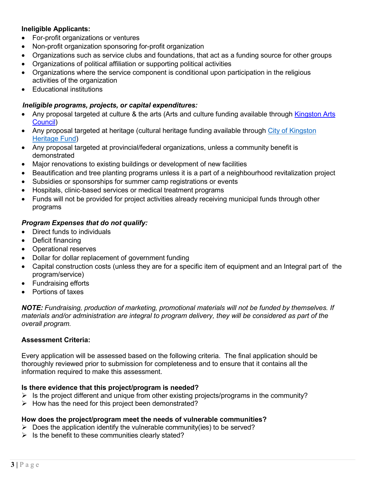## **Ineligible Applicants:**

- For-profit organizations or ventures
- Non-profit organization sponsoring for-profit organization
- Organizations such as service clubs and foundations, that act as a funding source for other groups
- Organizations of political affiliation or supporting political activities
- Organizations where the service component is conditional upon participation in the religious activities of the organization
- Educational institutions

## *Ineligible programs, projects, or capital expenditures:*

- Any proposal targeted at culture & the arts (Arts and culture funding available through Kingston Arts [Council\)](http://www.artskingston.ca/)
- Any proposal targeted at heritage (cultural heritage funding available through City [of Kingston](http://www.kingstonmuseums.ca/) [Heritage](http://www.kingstonmuseums.ca/) Fund)
- Any proposal targeted at provincial/federal organizations, unless a community benefit is demonstrated
- Major renovations to existing buildings or development of new facilities
- Beautification and tree planting programs unless it is a part of a neighbourhood revitalization project
- Subsidies or sponsorships for summer camp registrations or events
- Hospitals, clinic-based services or medical treatment programs
- Funds will not be provided for project activities already receiving municipal funds through other programs

# *Program Expenses that do not qualify:*

- Direct funds to individuals
- Deficit financing
- Operational reserves
- Dollar for dollar replacement of government funding
- Capital construction costs (unless they are for a specific item of equipment and an Integral part of the program/service)
- Fundraising efforts
- Portions of taxes

*NOTE: Fundraising, production of marketing, promotional materials will not be funded by themselves. If materials and/or administration are integral to program delivery, they will be considered as part of the overall program.*

### **Assessment Criteria:**

Every application will be assessed based on the following criteria. The final application should be thoroughly reviewed prior to submission for completeness and to ensure that it contains all the information required to make this assessment.

# **Is there evidence that this project/program is needed?**

- $\triangleright$  Is the project different and unique from other existing projects/programs in the community?
- $\triangleright$  How has the need for this project been demonstrated?

### **How does the project/program meet the needs of vulnerable communities?**

- $\triangleright$  Does the application identify the vulnerable community(ies) to be served?
- $\triangleright$  Is the benefit to these communities clearly stated?